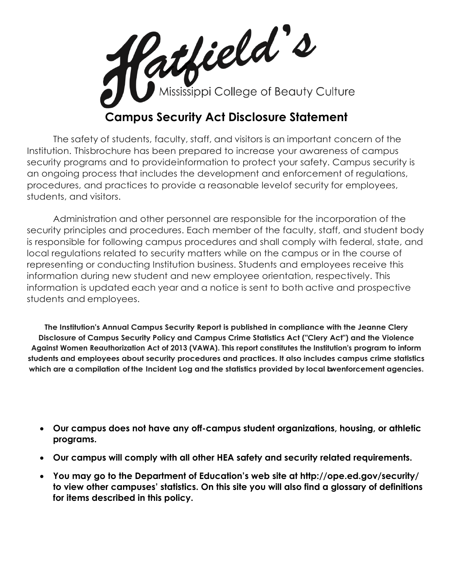

The safety of students, faculty, staff, and visitors is an important concern of the Institution. Thisbrochure has been prepared to increase your awareness of campus security programs and to provideinformation to protect your safety. Campus security is an ongoing process that includes the development and enforcement of regulations, procedures, and practices to provide a reasonable levelof security for employees, students, and visitors.

Administration and other personnel are responsible for the incorporation of the security principles and procedures. Each member of the faculty, staff, and student body is responsible for following campus procedures and shall comply with federal, state, and local regulations related to security matters while on the campus or in the course of representing or conducting Institution business. Students and employees receive this information during new student and new employee orientation, respectively. This information is updated each year and a notice is sent to both active and prospective students and employees.

**The Institution's Annual Campus Security Report is published in compliance with the Jeanne Clery Disclosure of Campus Security Policy and Campus Crime Statistics Act ("Clery Act") and the Violence Against Women Reauthorization Act of 2013 (VAWA). This report constitutes the Institution's program to inform students and employees about security procedures and practices. It also includes campus crime statistics which are a compilation of the Incident Log and the statistics provided by local lawenforcement agencies.**

- **Our campus does not have any off-campus student organizations, housing, or athletic programs.**
- **Our campus will comply with all other HEA safety and security related requirements.**
- **You may go to the Department of Education's web site at http://ope.ed.gov/security/ to view other campuses' statistics. On this site you will also find a glossary of definitions for items described in this policy.**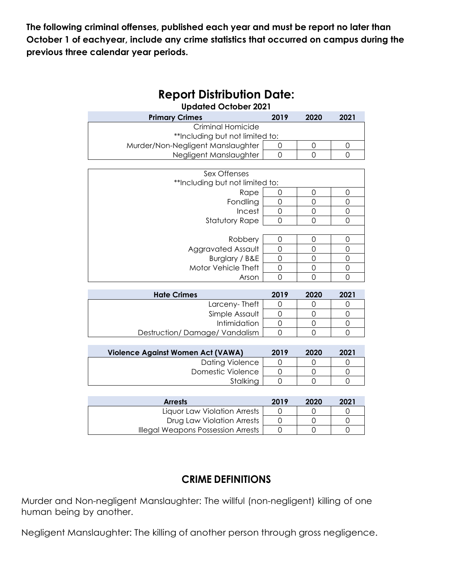**The following criminal offenses, published each year and must be report no later than October 1 of eachyear, include any crime statistics that occurred on campus during the previous three calendar year periods.**

| <b>Updated October 2021</b>                                          |                |                |                     |  |  |  |
|----------------------------------------------------------------------|----------------|----------------|---------------------|--|--|--|
| <b>Primary Crimes</b>                                                | 2019           | 2020           | 2021                |  |  |  |
| Criminal Homicide                                                    |                |                |                     |  |  |  |
| **Including but not limited to:                                      |                |                |                     |  |  |  |
| Murder/Non-Negligent Manslaughter                                    | 0              | $\mathbf 0$    | 0                   |  |  |  |
| Negligent Manslaughter                                               | $\overline{O}$ | $\overline{0}$ | $\mathbf 0$         |  |  |  |
|                                                                      |                |                |                     |  |  |  |
| Sex Offenses                                                         |                |                |                     |  |  |  |
| **Including but not limited to:                                      |                |                |                     |  |  |  |
| Rape                                                                 | 0              | 0              | 0                   |  |  |  |
| Fondling                                                             | 0              | 0              | 0                   |  |  |  |
| Incest                                                               | $\overline{O}$ | $\overline{O}$ | $\mathsf O$         |  |  |  |
| Statutory Rape                                                       | 0              | 0              | $\mathbf 0$         |  |  |  |
|                                                                      |                |                |                     |  |  |  |
| Robbery                                                              | 0              | 0              | 0                   |  |  |  |
| Aggravated Assault                                                   | $\overline{O}$ | $\mathbf 0$    | $\overline{O}$      |  |  |  |
| Burglary / B&E                                                       | $\overline{O}$ | $\overline{O}$ | $\mathbf 0$         |  |  |  |
| Motor Vehicle Theft                                                  | $\mathbf 0$    | 0              | $\mathsf{O}\xspace$ |  |  |  |
| Arson                                                                | $\Omega$       | $\Omega$       | $\Omega$            |  |  |  |
|                                                                      |                |                |                     |  |  |  |
| <b>Hate Crimes</b>                                                   | 2019           | 2020           | 2021                |  |  |  |
| Larceny-Theft                                                        | 0              | 0              | 0                   |  |  |  |
| Simple Assault                                                       | 0              | $\overline{0}$ | $\mathsf O$         |  |  |  |
| Intimidation                                                         | $\mathbf 0$    | $\mathbf 0$    | $\mathbf 0$         |  |  |  |
| Destruction/Damage/Vandalism                                         | 0              | 0              | 0                   |  |  |  |
|                                                                      |                |                |                     |  |  |  |
| $1/2 - 1$<br>$A = 2.2 - 1141$<br>$A - I$ / $I$ $A$ $M$ $A$ $\lambda$ | <b>0010</b>    |                |                     |  |  |  |

# **Report Distribution Date:**

| <b>Violence Against Women Act (VAWA)</b> | 2019 | 2020 | 2021 |
|------------------------------------------|------|------|------|
| <b>Dating Violence</b>                   |      |      |      |
| Domestic Violence                        |      |      |      |
| Stalkina                                 |      |      |      |

| <b>Arrests</b>                     | 2019 | 2020 | 2021 |
|------------------------------------|------|------|------|
| Liquor Law Violation Arrests       |      |      |      |
| Drug Law Violation Arrests         |      |      |      |
| Illegal Weapons Possession Arrests |      |      |      |

# **CRIME DEFINITIONS**

Murder and Non-negligent Manslaughter: The willful (non-negligent) killing of one human being by another.

Negligent Manslaughter: The killing of another person through gross negligence.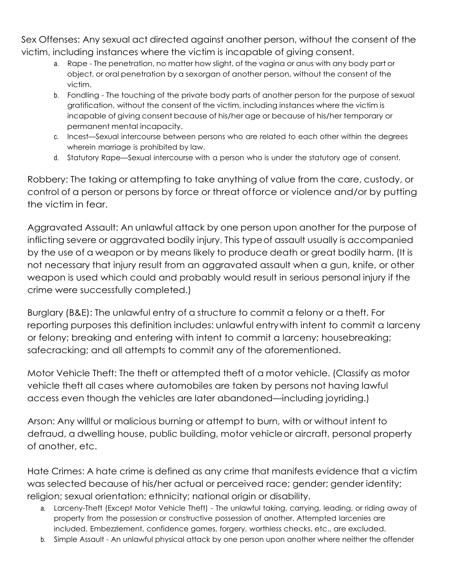Sex Offenses: Any sexual act directed against another person, without the consent of the victim, including instances where the victim is incapable of giving consent.

- a. Rape The penetration, no matter how slight, of the vagina or anus with any body part or object, or oral penetration by a sexorgan of another person, without the consent of the victim.
- b. Fondling The touching of the private body parts of another person for the purpose of sexual gratification, without the consent of the victim, including instances where the victim is incapable of giving consent because of his/her age or because of his/her temporary or permanent mental incapacity.
- c. Incest—Sexual intercourse between persons who are related to each other within the degrees wherein marriage is prohibited by law.
- d. Statutory Rape—Sexual intercourse with a person who is under the statutory age of consent.

Robbery: The taking or attempting to take anything of value from the care, custody, or control of a person or persons by force or threat offorce or violence and/or by putting the victim in fear.

Aggravated Assault: An unlawful attack by one person upon another for the purpose of inflicting severe or aggravated bodily injury. This typeof assault usually is accompanied by the use of a weapon or by means likely to produce death or great bodily harm. (It is not necessary that injury result from an aggravated assault when a gun, knife, or other weapon is used which could and probably would result in serious personal injury if the crime were successfully completed.)

Burglary (B&E): The unlawful entry of a structure to commit a felony or a theft. For reporting purposes this definition includes: unlawful entrywith intent to commit a larceny or felony; breaking and entering with intent to commit a larceny; housebreaking; safecracking; and all attempts to commit any of the aforementioned.

Motor Vehicle Theft: The theft or attempted theft of a motor vehicle. (Classify as motor vehicle theft all cases where automobiles are taken by persons not having lawful access even though the vehicles are later abandoned—including joyriding.)

Arson: Any willful or malicious burning or attempt to burn, with or without intent to defraud, a dwelling house, public building, motor vehicleor aircraft, personal property of another, etc.

Hate Crimes: A hate crime is defined as any crime that manifests evidence that a victim was selected because of his/her actual or perceived race; gender; gender identity; religion; sexual orientation; ethnicity; national origin or disability.

- a. Larceny-Theft (Except Motor Vehicle Theft) The unlawful taking, carrying, leading, or riding away of property from the possession or constructive possession of another. Attempted larcenies are included. Embezzlement, confidence games, forgery, worthless checks, etc., are excluded.
- b. Simple Assault An unlawful physical attack by one person upon another where neither the offender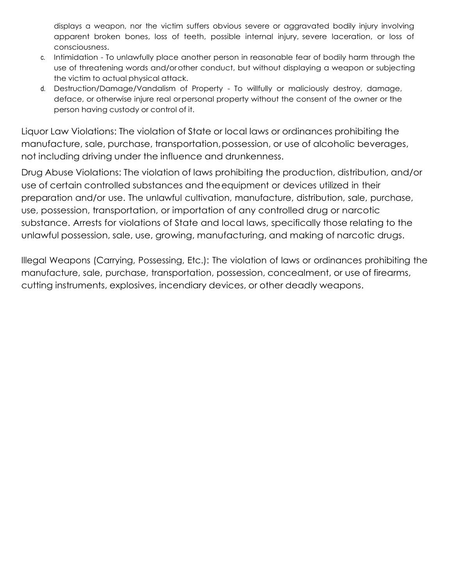displays a weapon, nor the victim suffers obvious severe or aggravated bodily injury involving apparent broken bones, loss of teeth, possible internal injury, severe laceration, or loss of consciousness.

- c. Intimidation To unlawfully place another person in reasonable fear of bodily harm through the use of threatening words and/orother conduct, but without displaying a weapon or subjecting the victim to actual physical attack.
- d. Destruction/Damage/Vandalism of Property To willfully or maliciously destroy, damage, deface, or otherwise injure real orpersonal property without the consent of the owner or the person having custody or control of it.

Liquor Law Violations: The violation of State or local laws or ordinances prohibiting the manufacture, sale, purchase, transportation,possession, or use of alcoholic beverages, not including driving under the influence and drunkenness.

Drug Abuse Violations: The violation of laws prohibiting the production, distribution, and/or use of certain controlled substances and theequipment or devices utilized in their preparation and/or use. The unlawful cultivation, manufacture, distribution, sale, purchase, use, possession, transportation, or importation of any controlled drug or narcotic substance. Arrests for violations of State and local laws, specifically those relating to the unlawful possession, sale, use, growing, manufacturing, and making of narcotic drugs.

Illegal Weapons (Carrying, Possessing, Etc.): The violation of laws or ordinances prohibiting the manufacture, sale, purchase, transportation, possession, concealment, or use of firearms, cutting instruments, explosives, incendiary devices, or other deadly weapons.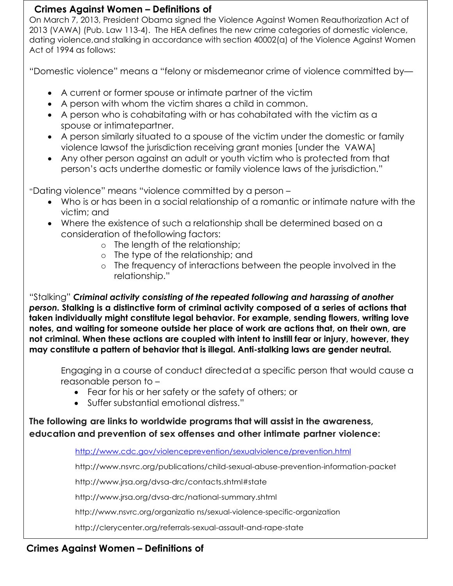## **Crimes Against Women – Definitions of**

On March 7, 2013, President Obama signed the Violence Against Women Reauthorization Act of 2013 (VAWA) (Pub. Law 113-4). The HEA defines the new crime categories of domestic violence, dating violence,and stalking in accordance with section 40002(a) of the Violence Against Women Act of 1994 as follows:

"Domestic violence" means a "felony or misdemeanor crime of violence committed by—

- A current or former spouse or intimate partner of the victim
- A person with whom the victim shares a child in common.
- A person who is cohabitating with or has cohabitated with the victim as a spouse or intimatepartner.
- A person similarly situated to a spouse of the victim under the domestic or family violence lawsof the jurisdiction receiving grant monies [under the VAWA]
- Any other person against an adult or youth victim who is protected from that person's acts underthe domestic or family violence laws of the jurisdiction."

"Dating violence" means "violence committed by a person –

- Who is or has been in a social relationship of a romantic or intimate nature with the victim; and
- Where the existence of such a relationship shall be determined based on a consideration of thefollowing factors:
	- o The length of the relationship;
	- o The type of the relationship; and
	- o The frequency of interactions between the people involved in the relationship."

"Stalking" *Criminal activity consisting of the repeated following and harassing of another person.* **Stalking is a distinctive form of criminal activity composed of a series of actions that taken individually might constitute legal behavior. For example, sending flowers, writing love notes, and waiting for someone outside her place of work are actions that, on their own, are not criminal. When these actions are coupled with intent to instill fear or injury, however, they may constitute a pattern of behavior that is illegal. Anti-stalking laws are gender neutral.**

Engaging in a course of conduct directed at a specific person that would cause a reasonable person to –

- Fear for his or her safety or the safety of others; or
- Suffer substantial emotional distress."

**The following are links to worldwide programs that will assist in the awareness, education and prevention of sex offenses and other intimate partner violence:**

<http://www.cdc.gov/violenceprevention/sexualviolence/prevention.html>

<http://www.nsvrc.org/publications/chiId-sexual-abuse-prevention-information-packet>

http://www.jrsa.org/dvsa-drc/contacts.shtml#state

http://www.jrsa.org/dvsa-drc/national-summary.shtml

http://www.nsvrc.org/organizatio ns/sexual-violence-specific-organization

http://clerycenter.org/referrals-sexual-assault-and-rape-state

# **Crimes Against Women – Definitions of**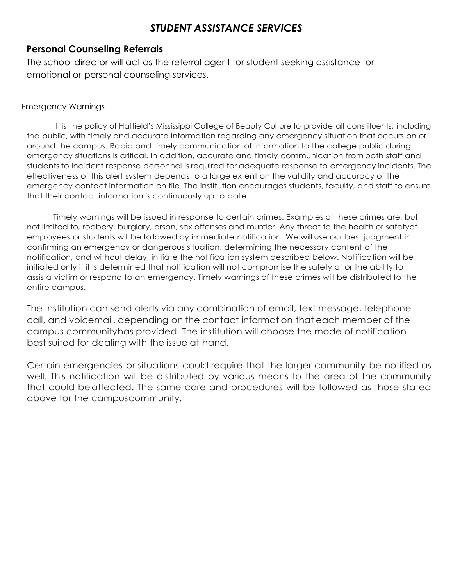# *STUDENT ASSISTANCE SERVICES*

# **Personal Counseling Referrals**

The school director will act as the referral agent for student seeking assistance for emotional or personal counseling services.

#### Emergency Warnings

It is the policy of Hatfield's Mississippi College of Beauty Culture to provide all constituents, including the public, with timely and accurate information regarding any emergency situation that occurs on or around the campus. Rapid and timely communication of information to the college public during emergency situations is critical. In addition, accurate and timely communication from both staff and students to incident response personnel is required for adequate response to emergency incidents. The effectiveness of this alert system depends to a large extent on the validity and accuracy of the emergency contact information on file. The institution encourages students, faculty, and staff to ensure that their contact information is continuously up to date.

Timely warnings will be issued in response to certain crimes. Examples of these crimes are, but not limited to, robbery, burglary, arson, sex offenses and murder. Any threat to the health or safetyof employees or students will be followed by immediate notification. We will use our best judgment in confirming an emergency or dangerous situation, determining the necessary content of the notification, and without delay, initiate the notification system described below. Notification will be initiated only if it is determined that notification will not compromise the safety of or the ability to assista victim or respond to an emergency. Timely warnings of these crimes will be distributed to the entire campus.

The Institution can send alerts via any combination of email, text message, telephone call, and voicemail, depending on the contact information that each member of the campus communityhas provided. The institution will choose the mode of notification best suited for dealing with the issue at hand.

Certain emergencies or situations could require that the larger community be notified as well. This notification will be distributed by various means to the area of the community that could beaffected. The same care and procedures will be followed as those stated above for the campuscommunity.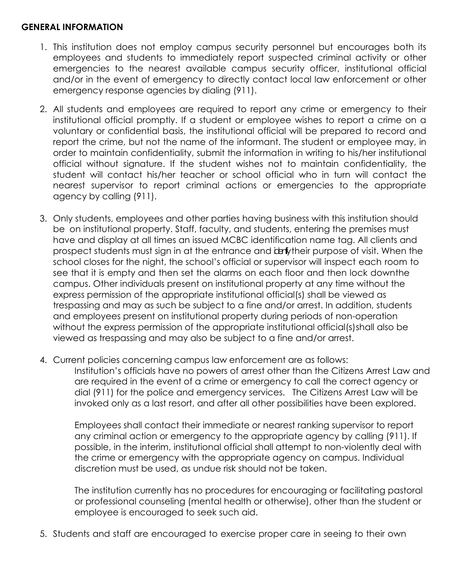### **GENERAL INFORMATION**

- 1. This institution does not employ campus security personnel but encourages both its employees and students to immediately report suspected criminal activity or other emergencies to the nearest available campus security officer, institutional official and/or in the event of emergency to directly contact local law enforcement or other emergency response agencies by dialing (911).
- 2. All students and employees are required to report any crime or emergency to their institutional official promptly. If a student or employee wishes to report a crime on a voluntary or confidential basis, the institutional official will be prepared to record and report the crime, but not the name of the informant. The student or employee may, in order to maintain confidentiality, submit the information in writing to his/her institutional official without signature. If the student wishes not to maintain confidentiality, the student will contact his/her teacher or school official who in turn will contact the nearest supervisor to report criminal actions or emergencies to the appropriate agency by calling (911).
- 3. Only students, employees and other parties having business with this institution should be on institutional property. Staff, faculty, and students, entering the premises must have and display at all times an issued MCBC identification name tag. All clients and prospect students must sign in at the entrance and identy their purpose of visit. When the school closes for the night, the school's official or supervisor will inspect each room to see that it is empty and then set the alarms on each floor and then lock downthe campus. Other individuals present on institutional property at any time without the express permission of the appropriate institutional official(s) shall be viewed as trespassing and may as such be subject to a fine and/or arrest. In addition, students and employees present on institutional property during periods of non-operation without the express permission of the appropriate institutional official(s)shall also be viewed as trespassing and may also be subject to a fine and/or arrest.
- 4. Current policies concerning campus law enforcement are as follows:

Institution's officials have no powers of arrest other than the Citizens Arrest Law and are required in the event of a crime or emergency to call the correct agency or dial (911) for the police and emergency services. The Citizens Arrest Law will be invoked only as a last resort, and after all other possibilities have been explored.

Employees shall contact their immediate or nearest ranking supervisor to report any criminal action or emergency to the appropriate agency by calling (911). If possible, in the interim, institutional official shall attempt to non-violently deal with the crime or emergency with the appropriate agency on campus. Individual discretion must be used, as undue risk should not be taken.

The institution currently has no procedures for encouraging or facilitating pastoral or professional counseling (mental health or otherwise), other than the student or employee is encouraged to seek such aid.

5. Students and staff are encouraged to exercise proper care in seeing to their own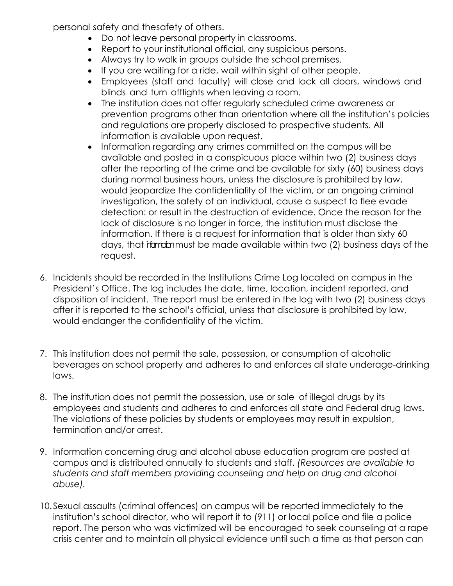personal safety and thesafety of others.

- Do not leave personal property in classrooms.
- Report to your institutional official, any suspicious persons.
- Always try to walk in groups outside the school premises.
- If you are waiting for a ride, wait within sight of other people.
- Employees (staff and faculty) will close and lock all doors, windows and blinds and turn offlights when leaving a room.
- The institution does not offer regularly scheduled crime awareness or prevention programs other than orientation where all the institution's policies and regulations are properly disclosed to prospective students. All information is available upon request.
- Information regarding any crimes committed on the campus will be available and posted in a conspicuous place within two (2) business days after the reporting of the crime and be available for sixty (60) business days during normal business hours, unless the disclosure is prohibited by law, would jeopardize the confidentiality of the victim, or an ongoing criminal investigation, the safety of an individual, cause a suspect to flee evade detection: or result in the destruction of evidence. Once the reason for the lack of disclosure is no longer in force, the institution must disclose the information. If there is a request for information that is older than sixty 60 days, that it to intust be made available within two (2) business days of the request.
- 6. Incidents should be recorded in the Institutions Crime Log located on campus in the President's Office. The log includes the date, time, location, incident reported, and disposition of incident. The report must be entered in the log with two (2) business days after it is reported to the school's official, unless that disclosure is prohibited by law, would endanger the confidentiality of the victim.
- 7. This institution does not permit the sale, possession, or consumption of alcoholic beverages on school property and adheres to and enforces all state underage-drinking laws.
- 8. The institution does not permit the possession, use or sale of illegal drugs by its employees and students and adheres to and enforces all state and Federal drug laws. The violations of these policies by students or employees may result in expulsion, termination and/or arrest.
- 9. Information concerning drug and alcohol abuse education program are posted at campus and is distributed annually to students and staff. *(Resources are available to students and staff members providing counseling and help on drug and alcohol abuse).*
- 10.Sexual assaults (criminal offences) on campus will be reported immediately to the institution's school director, who will report it to (911) or local police and file a police report. The person who was victimized will be encouraged to seek counseling at a rape crisis center and to maintain all physical evidence until such a time as that person can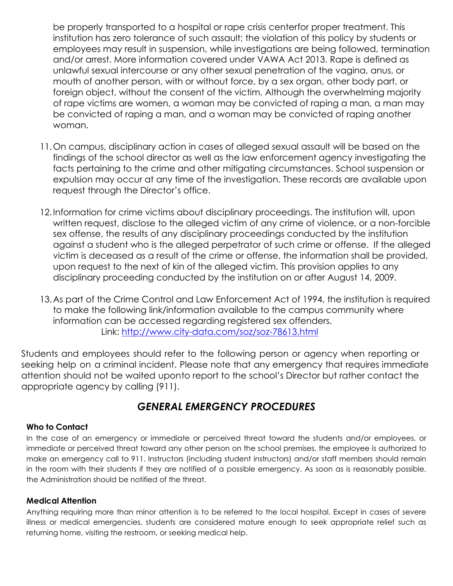be properly transported to a hospital or rape crisis centerfor proper treatment. This institution has zero tolerance of such assault; the violation of this policy by students or employees may result in suspension, while investigations are being followed, termination and/or arrest. More information covered under VAWA Act 2013. Rape is defined as unlawful sexual intercourse or any other sexual penetration of the vagina, anus, or mouth of another person, with or without force, by a sex organ, other body part, or foreign object, without the consent of the victim. Although the overwhelming majority of rape victims are women, a woman may be convicted of raping a man, a man may be convicted of raping a man, and a woman may be convicted of raping another woman.

- 11.On campus, disciplinary action in cases of alleged sexual assault will be based on the findings of the school director as well as the law enforcement agency investigating the facts pertaining to the crime and other mitigating circumstances. School suspension or expulsion may occur at any time of the investigation. These records are available upon request through the Director's office.
- 12.Information for crime victims about disciplinary proceedings. The institution will, upon written request, disclose to the alleged victim of any crime of violence, or a non-forcible sex offense, the results of any disciplinary proceedings conducted by the institution against a student who is the alleged perpetrator of such crime or offense. If the alleged victim is deceased as a result of the crime or offense, the information shall be provided, upon request to the next of kin of the alleged victim. This provision applies to any disciplinary proceeding conducted by the institution on or after August 14, 2009.
- 13.As part of the Crime Control and Law Enforcement Act of 1994, the institution is required to make the following link/information available to the campus community where information can be accessed regarding registered sex offenders. Link: <http://www.city-data.com/soz/soz-78613.html>

Students and employees should refer to the following person or agency when reporting or seeking help on a criminal incident. Please note that any emergency that requires immediate attention should not be waited uponto report to the school's Director but rather contact the appropriate agency by calling (911).

# *GENERAL EMERGENCY PROCEDURES*

#### **Who to Contact**

In the case of an emergency or immediate or perceived threat toward the students and/or employees, or immediate or perceived threat toward any other person on the school premises, the employee is authorized to make an emergency call to 911. Instructors (including student instructors) and/or staff members should remain in the room with their students if they are notified of a possible emergency. As soon as is reasonably possible, the Administration should be notified of the threat.

#### **Medical Attention**

Anything requiring more than minor attention is to be referred to the local hospital. Except in cases of severe illness or medical emergencies, students are considered mature enough to seek appropriate relief such as returning home, visiting the restroom, or seeking medical help.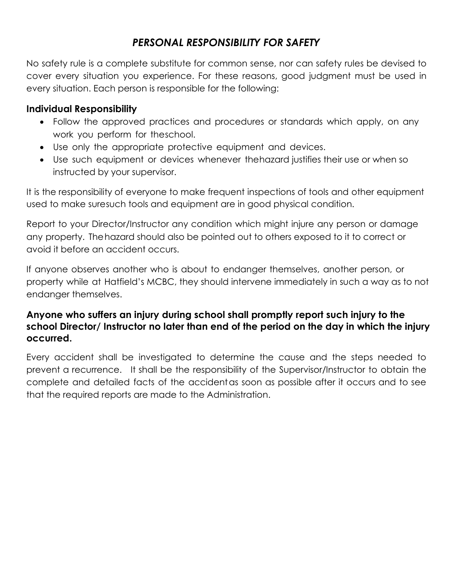# *PERSONAL RESPONSIBILITY FOR SAFETY*

No safety rule is a complete substitute for common sense, nor can safety rules be devised to cover every situation you experience. For these reasons, good judgment must be used in every situation. Each person is responsible for the following:

# **Individual Responsibility**

- Follow the approved practices and procedures or standards which apply, on any work you perform for theschool.
- Use only the appropriate protective equipment and devices.
- Use such equipment or devices whenever thehazard justifies their use or when so instructed by your supervisor.

It is the responsibility of everyone to make frequent inspections of tools and other equipment used to make suresuch tools and equipment are in good physical condition.

Report to your Director/Instructor any condition which might injure any person or damage any property. The hazard should also be pointed out to others exposed to it to correct or avoid it before an accident occurs.

If anyone observes another who is about to endanger themselves, another person, or property while at Hatfield's MCBC, they should intervene immediately in such a way as to not endanger themselves.

# **Anyone who suffers an injury during school shall promptly report such injury to the school Director/ Instructor no later than end of the period on the day in which the injury occurred.**

Every accident shall be investigated to determine the cause and the steps needed to prevent a recurrence. It shall be the responsibility of the Supervisor/Instructor to obtain the complete and detailed facts of the accidentas soon as possible after it occurs and to see that the required reports are made to the Administration.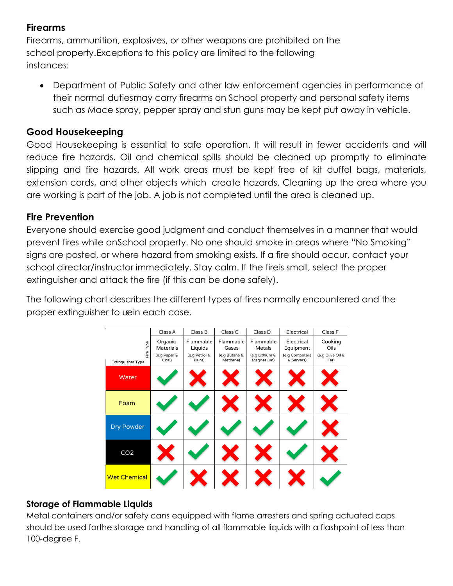# **Firearms**

Firearms, ammunition, explosives, or other weapons are prohibited on the school property.Exceptions to this policy are limited to the following instances:

• Department of Public Safety and other law enforcement agencies in performance of their normal dutiesmay carry firearms on School property and personal safety items such as Mace spray, pepper spray and stun guns may be kept put away in vehicle.

## **Good Housekeeping**

Good Housekeeping is essential to safe operation. It will result in fewer accidents and will reduce fire hazards. Oil and chemical spills should be cleaned up promptly to eliminate slipping and fire hazards. All work areas must be kept free of kit duffel bags, materials, extension cords, and other objects which create hazards. Cleaning up the area where you are working is part of the job. A job is not completed until the area is cleaned up.

## **Fire Prevention**

Everyone should exercise good judgment and conduct themselves in a manner that would prevent fires while onSchool property. No one should smoke in areas where "No Smoking" signs are posted, or where hazard from smoking exists. If a fire should occur, contact your school director/instructor immediately. Stay calm. If the fireis small, select the proper extinguisher and attack the fire (if this can be done safely).

The following chart describes the different types of fires normally encountered and the proper extinguisher to wein each case.

|                     | Class A                   | Class B                  | Class C                | Class D                  | Electrical                  | Class F                  |
|---------------------|---------------------------|--------------------------|------------------------|--------------------------|-----------------------------|--------------------------|
|                     | Organic                   | Flammable                | Flammable              | Flammable                | Electrical                  | Cooking                  |
| Fire Type           | Materials<br>(e.g Paper & | Liquids<br>(e.g Petrol & | Gases<br>(e.g Butane & | Metals<br>(e.g Lithium & | Equipment<br>(e.g Computers | Oils<br>(e.g Olive Oil & |
| Extinguisher Type   | Coal)                     | Paint)                   | Methane)               | Magnesium)               | & Servers)                  | Fat)                     |
| Water               |                           |                          |                        |                          |                             |                          |
| Foam                |                           |                          |                        |                          |                             |                          |
| Dry Powder          |                           |                          |                        |                          |                             |                          |
| CO <sub>2</sub>     |                           |                          |                        |                          |                             |                          |
| <b>Wet Chemical</b> |                           |                          |                        |                          |                             |                          |

## **Storage of Flammable Liquids**

Metal containers and/or safety cans equipped with flame arresters and spring actuated caps should be used forthe storage and handling of all flammable liquids with a flashpoint of less than 100-degree F.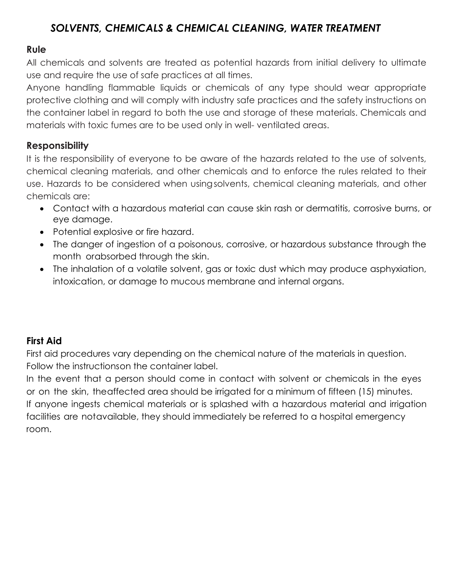# *SOLVENTS, CHEMICALS & CHEMICAL CLEANING, WATER TREATMENT*

## **Rule**

All chemicals and solvents are treated as potential hazards from initial delivery to ultimate use and require the use of safe practices at all times.

Anyone handling flammable liquids or chemicals of any type should wear appropriate protective clothing and will comply with industry safe practices and the safety instructions on the container label in regard to both the use and storage of these materials. Chemicals and materials with toxic fumes are to be used only in well- ventilated areas.

# **Responsibility**

It is the responsibility of everyone to be aware of the hazards related to the use of solvents, chemical cleaning materials, and other chemicals and to enforce the rules related to their use. Hazards to be considered when usingsolvents, chemical cleaning materials, and other chemicals are:

- Contact with a hazardous material can cause skin rash or dermatitis, corrosive burns, or eye damage.
- Potential explosive or fire hazard.
- The danger of ingestion of a poisonous, corrosive, or hazardous substance through the month orabsorbed through the skin.
- The inhalation of a volatile solvent, gas or toxic dust which may produce asphyxiation, intoxication, or damage to mucous membrane and internal organs.

# **First Aid**

First aid procedures vary depending on the chemical nature of the materials in question. Follow the instructionson the container label.

In the event that a person should come in contact with solvent or chemicals in the eyes or on the skin, theaffected area should be irrigated for a minimum of fifteen (15) minutes. If anyone ingests chemical materials or is splashed with a hazardous material and irrigation facilities are notavailable, they should immediately be referred to a hospital emergency room.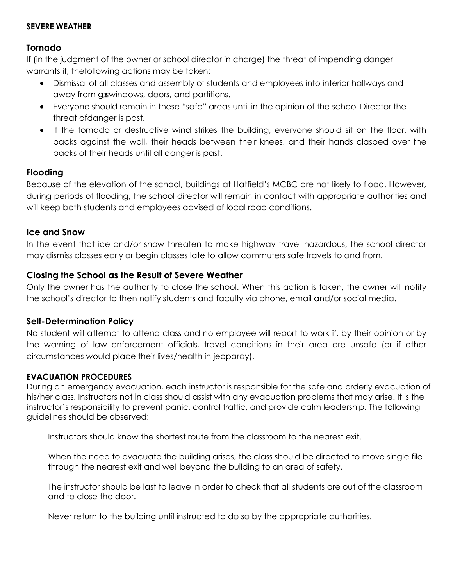#### **SEVERE WEATHER**

### **Tornado**

If (in the judgment of the owner or school director in charge) the threat of impending danger warrants it, thefollowing actions may be taken:

- Dismissal of all classes and assembly of students and employees into interior hallways and away from doswindows, doors, and partitions.
- Everyone should remain in these "safe" areas until in the opinion of the school Director the threat ofdanger is past.
- If the tornado or destructive wind strikes the building, everyone should sit on the floor, with backs against the wall, their heads between their knees, and their hands clasped over the backs of their heads until all danger is past.

### **Flooding**

Because of the elevation of the school, buildings at Hatfield's MCBC are not likely to flood. However, during periods of flooding, the school director will remain in contact with appropriate authorities and will keep both students and employees advised of local road conditions.

#### **Ice and Snow**

In the event that ice and/or snow threaten to make highway travel hazardous, the school director may dismiss classes early or begin classes late to allow commuters safe travels to and from.

### **Closing the School as the Result of Severe Weather**

Only the owner has the authority to close the school. When this action is taken, the owner will notify the school's director to then notify students and faculty via phone, email and/or social media.

### **Self-Determination Policy**

No student will attempt to attend class and no employee will report to work if, by their opinion or by the warning of law enforcement officials, travel conditions in their area are unsafe (or if other circumstances would place their lives/health in jeopardy).

### **EVACUATION PROCEDURES**

During an emergency evacuation, each instructor is responsible for the safe and orderly evacuation of his/her class. Instructors not in class should assist with any evacuation problems that may arise. It is the instructor's responsibility to prevent panic, control traffic, and provide calm leadership. The following guidelines should be observed:

Instructors should know the shortest route from the classroom to the nearest exit.

When the need to evacuate the building arises, the class should be directed to move single file through the nearest exit and well beyond the building to an area of safety.

The instructor should be last to leave in order to check that all students are out of the classroom and to close the door.

Never return to the building until instructed to do so by the appropriate authorities.